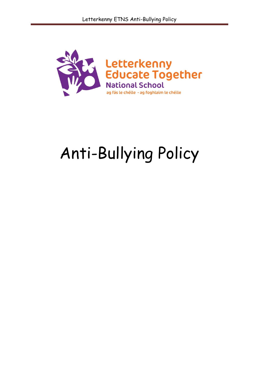

# Anti-Bullying Policy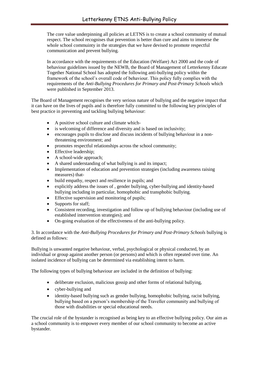The core value underpinning all policies at LETNS is to create a school community of mutual respect. The school recognises that prevention is better than cure and aims to immerse the whole school commuinty in the strategies that we have devised to promote respectful communication and prevent bullying.

In accordance with the requirements of the Education (Welfare) Act 2000 and the code of behaviour guidelines issued by the NEWB, the Board of Management of Letterkenny Educate Together National School has adopted the following anti-bullying policy within the framework of the school's overall code of behaviour. This policy fully complies with the requirements of the *Anti-Bullying Procedures for Primary and Post-Primary Schools* which were published in September 2013.

The Board of Management recognises the very serious nature of bullying and the negative impact that it can have on the lives of pupils and is therefore fully committed to the following key principles of best practice in preventing and tackling bullying behaviour:

- A positive school culture and climate which-
- is welcoming of difference and diversity and is based on inclusivity;
- encourages pupils to disclose and discuss incidents of bullying behaviour in a nonthreatening environment; and
- promotes respectful relationships across the school community;
- Effective leadership;
- A school-wide approach;
- A shared understanding of what bullying is and its impact;
- Implementation of education and prevention strategies (including awareness raising measures) that-
- build empathy, respect and resilience in pupils; and
- explicitly address the issues of , gender bullying, cyber-bullying and identity-based bullying including in particular, homophobic and transphobic bullying.
- Effective supervision and monitoring of pupils;
- Supports for staff;
- Consistent recording, investigation and follow up of bullying behaviour (including use of established intervention strategies); and
- On-going evaluation of the effectiveness of the anti-bullying policy.

3. In accordance with the *Anti-Bullying Procedures for Primary and Post-Primary Schools* bullying is defined as follows:

Bullying is unwanted negative behaviour, verbal, psychological or physical conducted, by an individual or group against another person (or persons) and which is often repeated over time. An isolated incidence of bullying can be determined via establishing intent to harm.

The following types of bullying behaviour are included in the definition of bullying:

- deliberate exclusion, malicious gossip and other forms of relational bullying,
- cyber-bullying and
- identity-based bullying such as gender bullying, homophobic bullying, racist bullying, bullying based on a person's membership of the Traveller community and bullying of those with disabilities or special educational needs.

The crucial role of the bystander is recognised as being key to an effective bullying policy. Our aim as a school community is to empower every member of our school community to become an active bystander.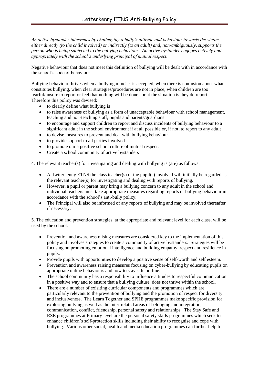*An active bystander intervenes by challenging a bully's attitude and behaviour towards the victim, either directly (to the child involved) or indirectly (to an adult) and, non-ambiguously, supports the person who is being subjected to the bullying behaviour. An active bystander engages actively and appropriately with the school's underlying principal of mutual respect.* 

Negative behaviour that does not meet this definition of bullying will be dealt with in accordance with the school's code of behaviour.

Bullying behaviour thrives when a bullying mindset is accepted, when there is confusion about what constitutes bullying, when clear strategies/procedures are not in place, when children are too fearful/unsure to report or feel that nothing will be done about the situation is they do report. Therefore this policy was devised:

- to clearly define what bullying is
- to raise awareness of bullying as a form of unacceptable behaviour with school management, teaching and non-teaching staff, pupils and parents/guardians
- to encourage and support children to report and discuss incidents of bullying behaviour to a significant adult in the school environment if at all possible or, if not, to report to any adult
- to devise measures to prevent and deal with bullying behaviour
- to provide support to all parties involved
- to promote our a positive school culture of mutual respect.
- Create a school community of active bystanders

4. The relevant teacher(s) for investigating and dealing with bullying is (are) as follows:

- At Letterkenny ETNS the class teacher(s) of the pupil(s) involved will initially be regarded as the relevant teacher(s) for investigating and dealing with reports of bullying.
- However, a pupil or parent may bring a bullying concern to any adult in the school and individual teachers must take appropriate measures regarding reports of bullying behaviour in accordance with the school's anti-bully policy.
- The Principal will also be informed of any reports of bullying and may be involved thereafter if necessary.

5. The education and prevention strategies, at the appropriate and relevant level for each class, will be used by the school:

- Prevention and awareness raising measures are considered key to the implementation of this policy and involves strategies to create a community of active bystanders. Strategies will be focusing on promoting emotional intelligence and building empathy, respect and resilience in pupils.
- Provide pupils with opportunities to develop a positive sense of self-worth and self esteem.
- Prevention and awareness raising measures focusing on cyber-bullying by educating pupils on appropriate online behaviours and how to stay safe on-line.
- The school community has a responsibility to influence attitudes to respectful communication in a positive way and to ensure that a bullying culture does not thrive within the school.
- There are a number of exisiting curricular components and programmes which are particularly relevant to the prevention of bullying and the promotion of respect for diversity and inclusiveness. The Learn Together and SPHE programmes make specific provision for exploring bullying as well as the inter-related areas of belonging and integration, communication, conflict, friendship, personal safety and relationships. The Stay Safe and RSE programmes at Primary level are the personal safety skills programmes which seek to enhance children's self-protection skills including their ability to recognise and cope with bullying. Various other social, health and media education programmes can further help to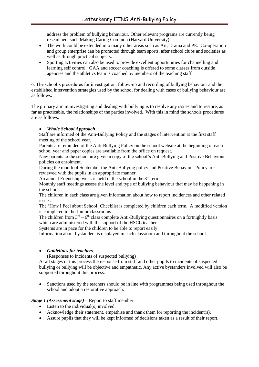address the problem of bullying behaviour. Other relevant programs are currently being researched, such Making Caring Common (Harvard University).

- The work could be extended into many other areas such as Art, Drama and PE. Co-operation and group enterprise can be promoted through team sports, after school clubs and societies as well as through practical subjects.
- Sporting activities can also be used to provide excellent opportunities for channelling and learning self control. GAA and soccer coaching is offered to some classes from outside agencies and the athletics team is coached by members of the teaching staff.

6. The school's procedures for investigation, follow-up and recording of bullying behaviour and the established intervention strategies used by the school for dealing with cases of bullying behaviour are as follows:

The primary aim in investigating and dealing with bullying is to resolve any issues and to restore, as far as practicable, the relationships of the parties involved. With this in mind the schools procedures are as follows:

#### *Whole School Approach*

Staff are informed of the Anti-Bullying Policy and the stages of intervention at the first staff meeting of the school year.

Parents are reminded of the Anti-Bullying Policy on the school website at the beginning of each school year and paper copies are available from the office on request.

New parents to the school are given a copy of the school's Anti-Bullying and Positive Behaviour policies on enrolment.

During the month of September the Anti-Bullying policy and Positive Behaviour Policy are reviewed with the pupils in an appropriate manner.

An annual Friendship week is held in the school in the  $3<sup>rd</sup>$  term.

Monthly staff meetings assess the level and type of bullying behaviour that may be happening in the school.

The children in each class are given information about how to report incidences and other related issues.

The 'How I Feel about School' Checklist is completed by children each term. A modified version is completed in the Junior classrooms.

The children from  $3<sup>rd</sup> - 6<sup>th</sup>$  class complete Anti-Bullying questionnaires on a fortnightly basis which are administered with the support of the HSCL teacher

Systems are in pace for the children to be able to report easily.

Information about bystanders is displayed in each classroom and throughout the school.

## *Guidelines for teachers*

(Responses to incidents of suspected bullying)

At all stages of this process the response from staff and other pupils to incidents of suspected bullying or bullying will be objective and empathetic. Any active bystanders involved will also be supported throughout this process.

 Sanctions used by the teachers should be in line with programmes being used throughout the school and adopt a restorative approach.

#### *Stage 1 (Assessment stage)* – Report to staff member

- Listen to the individual(s) involved.
- Acknowledge their statement, empathise and thank them for reporting the incident(s).
- Assure pupils that they will be kept informed of decisions taken as a result of their report.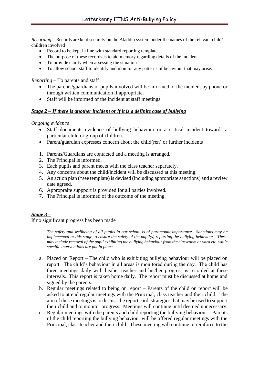*Recording* – Records are kept securely on the Aladdin system under the names of the relevant child/ children involved

- Record to be kept in line with standard reporting template
- The purpose of these records is to aid memory regarding details of the incident
- To provide clarity when assessing the situation
- To allow school staff to identify and monitor any patterns of behaviour that may arise.

*Reporting* – To parents and staff

- The parents/guardians of pupils involved will be informed of the incident by phone or through written communication if appropriate.
- Staff will be informed of the incident at staff meetings.

# *Stage 2 – If there is another incident or if it is a definite case of bullying*

*Ongoing evidence*

- Staff documents evidence of bullying behaviour or a critical incident towards a particular child or group of children.
- Parent/guardian expresses concern about the child(ren) or further incidents
- 1. Parents/Guardians are contacted and a meeting is arranged.
- 2. The Principal is informed.
- 3. Each pupils and parent meets with the class teacher separately.
- 4. Any concerns about the child/incident will be discussed at this meeting.
- 5. An action plan (\*see template) is devised (including appropriate sanctions) and a review date agreed.
- 6. Appropraite suppport is provided for all parties involved.
- 7. The Principal is informed of the outcome of the meeting.

## *Stage 3 –*

If no significant progress has been made

*The safety and wellbeing of all pupils in our school is of paramount importance. Sanctions may be implemented at this stage to ensure the safety of the pupil(s) reporting the bullying behaviour. These may include removal of the pupil exhibiting the bullying behaviour from the classroom or yard etc. while specific interventions are put in place.* 

- a. Placed on Report The child who is exhibiting bullying behaviour will be placed on report. The child's behaviour in all areas is monitored during the day. The child has three meetings daily with his/her teacher and his/her progress is recorded at these intervals. This report is taken home daily. The report must be discussed at home and signed by the parents.
- b. Regular meetings related to being on report Parents of the child on report will be asked to attend regular meetings with the Principal, class teacher and their child. The aim of these meetings is to discuss the report card, strategies that may be used to support their child and to monitor progress. Meetings will continue until deemed unnecessary.
- c. Regular meetings with the parents and child reporting the bullying behaviour Parents of the child reporting the bullying behaviour will be offered regular meetings with the Principal, class teacher and their child. These meeting will continue to reinforce to the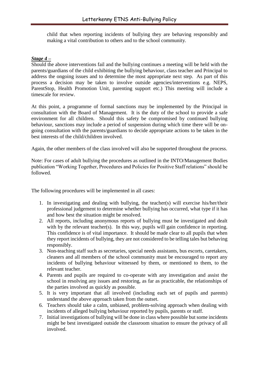child that when reporting incidents of bullying they are behaving responsibly and making a vital contribution to others and to the school community.

# *Stage 4 –*

Should the above interventions fail and the bullying continues a meeting will be held with the parents/guardians of the child exhibiting the bullying behaviour, class teacher and Principal to address the ongoing issues and to determine the most appropriate next step. As part of this process a decision may be taken to involve outside agencies/interventions e.g. NEPS, ParentStop, Health Promotion Unit, parenting support etc.) This meeting will include a timescale for review.

At this point, a programme of formal sanctions may be implemented by the Principal in consultation with the Board of Management. It is the duty of the school to provide a safe environment for all children. Should this safety be compromised by continued bullying behaviour, sanctions may include a period of suspension during which time there will be ongoing consultation with the parents/guardians to decide appropriate actions to be taken in the best interests of the child/children involved.

Again, the other members of the class involved will also be supported throughout the process.

Note: For cases of adult bullying the procedures as outlined in the INTO/Management Bodies publication "Working Together, Procedures and Policies for Positive Staff relations" should be followed.

The following procedures will be implemented in all cases:

- 1. In investigating and dealing with bullying, the teacher(s) will exercise his/her/their professional judgement to determine whether bullying has occurred, what type if it has and how best the situation might be resolved.
- 2. All reports, including anonymous reports of bullying must be investigated and dealt with by the relevant teacher(s). In this way, pupils will gain confidence in reporting. This confidence is of vital importance. It should be made clear to all pupils that when they report incidents of bullying, they are not considered to be telling tales but behaving responsibly.
- 3. Non-teaching staff such as secretaries, special needs assistants, bus escorts, caretakers, cleaners and all members of the school community must be encouraged to report any incidents of bullying behaviour witnessed by them, or mentioned to them, to the relevant teacher.
- 4. Parents and pupils are required to co-operate with any investigation and assist the school in resolving any issues and restoring, as far as practicable, the relationships of the parties involved as quickly as possible.
- 5. It is very important that all involved (including each set of pupils and parents) understand the above approach taken from the outset.
- 6. Teachers should take a calm, unbiased, problem-solving approach when dealing with incidents of alleged bullying behaviour reported by pupils, parents or staff.
- 7. Initial investigations of bullying will be done in class where possible but some incidents might be best investigated outside the classroom situation to ensure the privacy of all involved.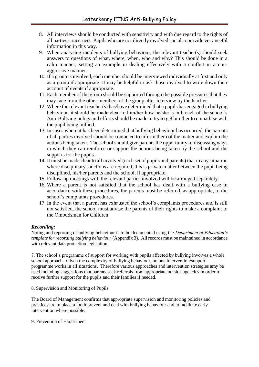- 8. All interviews should be conducted with sensitivity and with due regard to the rights of all parties concerned. Pupils who are not directly involved can also provide very useful information in this way.
- 9. When analysing incidents of bullying behaviour, the relevant teacher(s) should seek answers to questions of what, where, when, who and why? This should be done in a calm manner, setting an example in dealing effectively with a conflict in a nonaggressive manner.
- 10. If a group is involved, each member should be interviewed individually at first and only as a group if appropriate. It may be helpful to ask those involved to write down their account of events if appropriate.
- 11. Each member of the group should be supported through the possible pressures that they may face from the other members of the group after interview by the teacher.
- 12. Where the relevant teacher(s) has/have determined that a pupils has engaged in bullying behaviour, it should be made clear to him/her how he/she is in breach of the school's Anti-Bullying policy and efforts should be made to try to get him/her to empathise with the pupil being bullied.
- 13. In cases where it has been determined that bullying behaviour has occurred, the parents of all parties involved should be contacted to inform them of the matter and explain the actions being taken. The school should give parents the opportunity of discussing ways in which they can reinforce or support the actions being taken by the school and the supports for the pupils.
- 14. It must be made clear to all involved (each set of pupils and parents) that in any situation where disciplinary sanctions are required, this is private matter between the pupil being disciplined, his/her parents and the school, if appropriate.
- 15. Follow-up meetings with the relevant parties involved will be arranged separately.
- 16. Where a parent is not satisfied that the school has dealt with a bullying case in accordance with these procedures, the parents must be referred, as appropriate, to the school's complaints procedures.
- 17. In the event that a parent has exhausted the school's complaints procedures and is still not satisfied, the school must advise the parents of their rights to make a complaint to the Ombudsman for Children.

## *Recording:*

Noting and reporting of bullying behaviour is to be documented using the *Department of Education's template for recording bullying behaviour* (Appendix 3). All records must be maintained in accordance with relevant data protection legislation.

7. The school's programme of support for working with pupils affected by bullying involves a whole school approach. Given the complexity of bullying behaviour, no one intervention/support programme works in all situations. Therefore various approaches and intervention strategies amy be used including suggestions that parents seek referrals from appropriate outside agencies in order to receive further support for the pupils and their families if needed.

8. Supervision and Monitoring of Pupils

The Board of Management confirms that appropriate supervision and monitoring policies and practices are in place to both prevent and deal with bullying behaviour and to facilitate early intervention where possible.

9. Prevention of Harassment